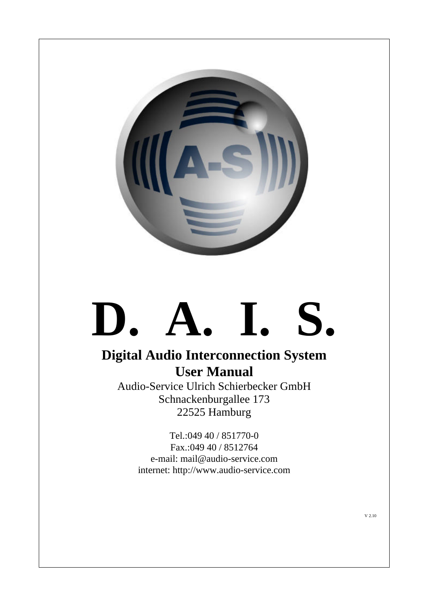

# **D. A. I. S.**

## **Digital Audio Interconnection System User Manual**

Audio-Service Ulrich Schierbecker GmbH Schnackenburgallee 173 22525 Hamburg

> Tel.:049 40 / 851770-0 Fax.:049 40 / 8512764 e-mail: mail@audio-service.com internet: http://www.audio-service.com

> > V 2.10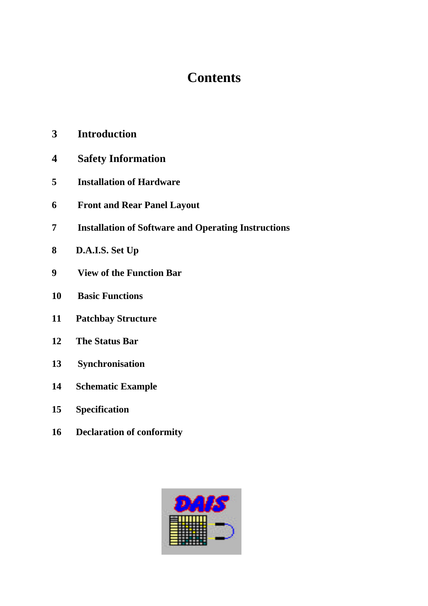## **Contents**

- **3 Introduction**
- **4 Safety Information**
- **5 Installation of Hardware**
- **6 Front and Rear Panel Layout**
- **7 Installation of Software and Operating Instructions**
- **8 D.A.I.S. Set Up**
- **9 View of the Function Bar**
- **10 Basic Functions**
- **11 Patchbay Structure**
- **12 The Status Bar**
- **13 Synchronisation**
- **14 Schematic Example**
- **15 Specification**
- **16 Declaration of conformity**

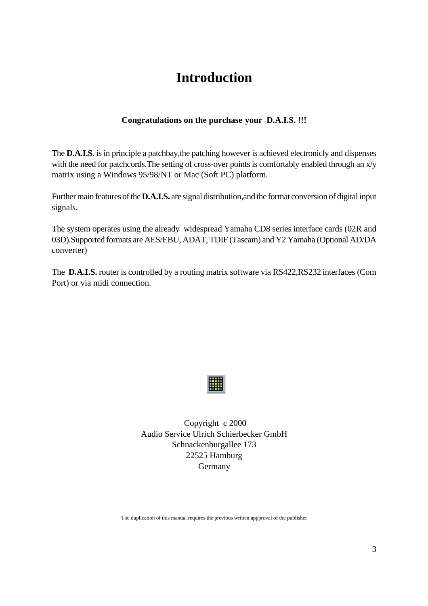## **Introduction**

#### **Congratulations on the purchase your D.A.I.S. !!!**

The **D.A.I.S**. is in principle a patchbay,the patching however is achieved electronicly and dispenses with the need for patchcords. The setting of cross-over points is comfortably enabled through an x/y matrix using a Windows 95/98/NT or Mac (Soft PC) platform.

Further main features of the**D.A.I.S.** are signal distribution,and the format conversion of digital input signals.

The system operates using the already widespread Yamaha CD8 series interface cards (02R and 03D).Supported formats are AES/EBU, ADAT, TDIF (Tascam) and Y2 Yamaha (Optional AD/DA converter)

The **D.A.I.S.** router is controlled by a routing matrix software via RS422,RS232 interfaces (Com Port) or via midi connection.



 Copyright c 2000 Audio Service Ulrich Schierbecker GmbH Schnackenburgallee 173 22525 Hamburg Germany

The duplication of this manual requires the previous written appproval of the publisher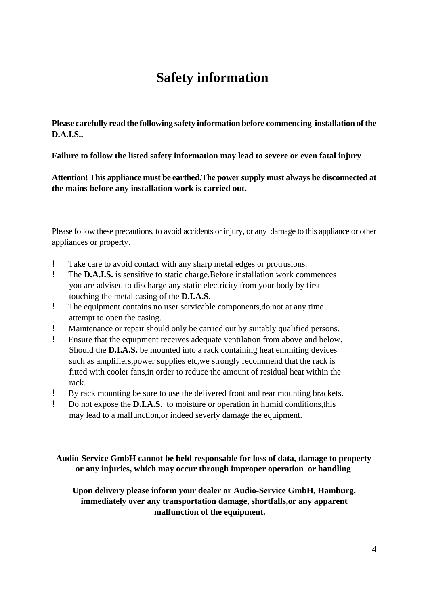# **Safety information**

**Please carefully read the following safety information before commencing installation of the D.A.I.S..**

**Failure to follow the listed safety information may lead to severe or even fatal injury**

**Attention! This appliance must be earthed.The power supply must always be disconnected at the mains before any installation work is carried out.**

Please follow these precautions, to avoid accidents or injury, or any damage to this appliance or other appliances or property.

- ! Take care to avoid contact with any sharp metal edges or protrusions.
- ! The **D.A.I.S.** is sensitive to static charge.Before installation work commences you are advised to discharge any static electricity from your body by first touching the metal casing of the **D.I.A.S.**
- ! The equipment contains no user servicable components,do not at any time attempt to open the casing.
- ! Maintenance or repair should only be carried out by suitably qualified persons.
- ! Ensure that the equipment receives adequate ventilation from above and below. Should the **D.I.A.S.** be mounted into a rack containing heat emmiting devices such as amplifiers,power supplies etc,we strongly recommend that the rack is fitted with cooler fans,in order to reduce the amount of residual heat within the rack.
- ! By rack mounting be sure to use the delivered front and rear mounting brackets.
- ! Do not expose the **D.I.A.S**. to moisture or operation in humid conditions,this may lead to a malfunction,or indeed severly damage the equipment.

 **Audio-Service GmbH cannot be held responsable for loss of data, damage to property or any injuries, which may occur through improper operation or handling**

**Upon delivery please inform your dealer or Audio-Service GmbH, Hamburg, immediately over any transportation damage, shortfalls,or any apparent malfunction of the equipment.**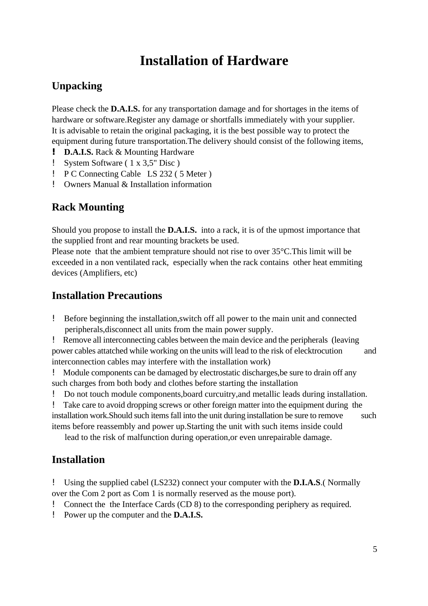# **Installation of Hardware**

## **Unpacking**

Please check the **D.A.I.S.** for any transportation damage and for shortages in the items of hardware or software.Register any damage or shortfalls immediately with your supplier. It is advisable to retain the original packaging, it is the best possible way to protect the equipment during future transportation.The delivery should consist of the following items,

- **! D.A.I.S.** Rack & Mounting Hardware
- ! System Software ( 1 x 3,5" Disc )
- ! P C Connecting Cable LS 232 ( 5 Meter )
- ! Owners Manual & Installation information

## **Rack Mounting**

Should you propose to install the **D.A.I.S.** into a rack, it is of the upmost importance that the supplied front and rear mounting brackets be used.

Please note that the ambient temprature should not rise to over 35°C.This limit will be exceeded in a non ventilated rack, especially when the rack contains other heat emmiting devices (Amplifiers, etc)

#### **Installation Precautions**

! Before beginning the installation,switch off all power to the main unit and connected peripherals,disconnect all units from the main power supply.

! Remove all interconnecting cables between the main device and the peripherals (leaving power cables attatched while working on the units will lead to the risk of elecktrocution and interconnection cables may interfere with the installation work)

! Module components can be damaged by electrostatic discharges,be sure to drain off any such charges from both body and clothes before starting the installation

! Do not touch module components,board curcuitry,and metallic leads during installation.

! Take care to avoid dropping screws or other foreign matter into the equipment during the installation work. Should such items fall into the unit during installation be sure to remove such items before reassembly and power up.Starting the unit with such items inside could

lead to the risk of malfunction during operation,or even unrepairable damage.

#### **Installation**

! Using the supplied cabel (LS232) connect your computer with the **D.I.A.S**.( Normally over the Com 2 port as Com 1 is normally reserved as the mouse port).

- ! Connect the the Interface Cards (CD 8) to the corresponding periphery as required.
- ! Power up the computer and the **D.A.I.S.**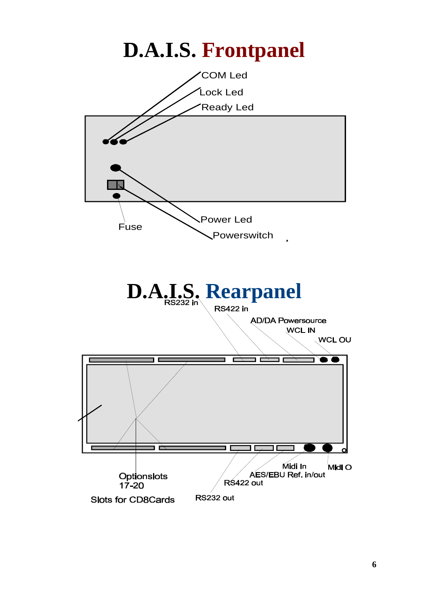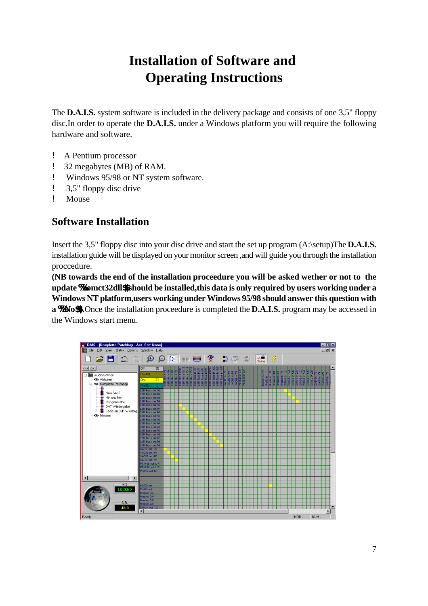# **Installation of Software and Operating Instructions**

The **D.A.I.S.** system software is included in the delivery package and consists of one 3,5" floppy disc.In order to operate the **D.A.I.S.** under a Windows platform you will require the following hardware and software.

- ! A Pentium processor
- ! 32 megabytes (MB) of RAM.
- ! Windows 95/98 or NT system software.
- ! 3,5" floppy disc drive
- ! Mouse

## **Software Installation**

Insert the 3,5" floppy disc into your disc drive and start the set up program (A:\setup)The **D.A.I.S.** installation guide will be displayed on your monitor screen ,and will guide you through the installation proccedure.

**(NB towards the end of the installation proceedure you will be asked wether or not to the update %%comct32dll\$\$ should be installed,this data is only required by users working under a Windows NT platform,users working under Windows 95/98 should answer this question with a %% No\$\$).**Once the installation proceedure is completed the **D.A.I.S.** program may be accessed in the Windows start menu.

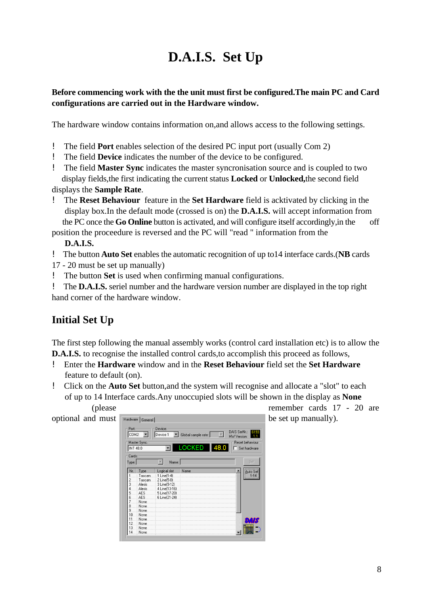# **D.A.I.S. Set Up**

#### **Before commencing work with the the unit must first be configured.The main PC and Card configurations are carried out in the Hardware window.**

The hardware window contains information on,and allows access to the following settings.

- ! The field **Port** enables selection of the desired PC input port (usually Com 2)
- ! The field **Device** indicates the number of the device to be configured.
- ! The field **Master Sync** indicates the master syncronisation source and is coupled to two display fields,the first indicating the current status **Locked** or **Unlocked,**the second field displays the **Sample Rate**.
- ! The **Reset Behaviour** feature in the **Set Hardware** field is acktivated by clicking in the display box.In the default mode (crossed is on) the **D.A.I.S.** will accept information from the PC once the **Go Online** button is activated, and will configure itself accordingly,in the off

position the proceedure is reversed and the PC will "read " information from the  **D.A.I.S.**

! The button **Auto Set** enables the automatic recognition of up to14 interface cards.(**NB** cards

- 17 20 must be set up manually)
- ! The button **Set** is used when confirming manual configurations.

! The **D.A.I.S.** seriel number and the hardware version number are displayed in the top right hand corner of the hardware window.

## **Initial Set Up**

The first step following the manual assembly works (control card installation etc) is to allow the **D.A.I.S.** to recognise the installed control cards, to accomplish this proceed as follows,

- ! Enter the **Hardware** window and in the **Reset Behaviour** field set the **Set Hardware** feature to default (on).
- ! Click on the **Auto Set** button,and the system will recognise and allocate a "slot" to each of up to 14 Interface cards.Any unoccupied slots will be shown in the display as **None**



(please remember cards 17 - 20 are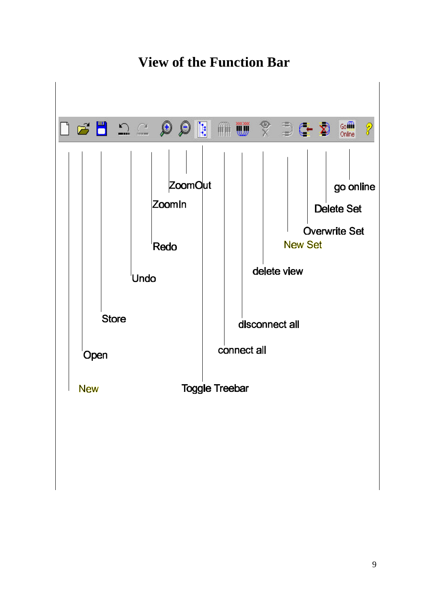

# **View of the Function Bar**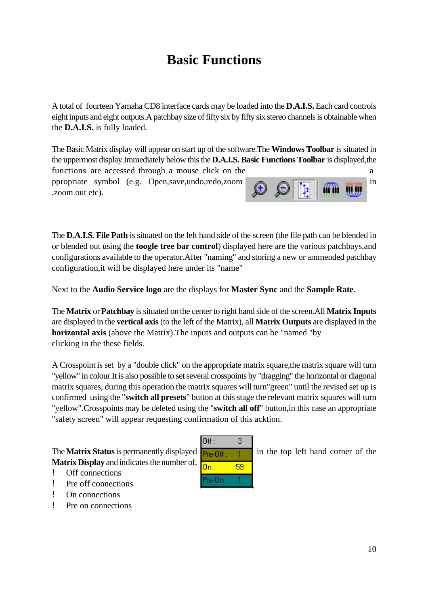# **Basic Functions**

A total of fourteen Yamaha CD8 interface cards may be loaded into the **D.A.I.S.** Each card controls eight inputs and eight outputs.A patchbay size of fifty six by fifty six stereo channels is obtainable when the **D.A.I.S.** is fully loaded.

The Basic Matrix display will appear on start up of the software.The **Windows Toolbar** is situated in the uppermost display.Immediately below this the **D.A.I.S. Basic Functions Toolbar** is displayed,the

functions are accessed through a mouse click on the a ppropriate symbol (e.g. Open,save,undo,redo,zoom in in the symbol (e.g. Open,save,undo,redo,zoom in in the symbol ,zoom out etc).



The **D.A.I.S. File Path** is situated on the left hand side of the screen (the file path can be blended in or blended out using the **toogle tree bar control**) displayed here are the various patchbays,and configurations available to the operator.After "naming" and storing a new or ammended patchbay configuration,it will be displayed here under its "name"

Next to the **Audio Service logo** are the displays for **Master Sync** and the **Sample Rate**.

The **Matrix** or **Patchbay** is situated on the center to right hand side of the screen.All **Matrix Inputs** are displayed in the **vertical axis** (to the left of the Matrix), all **Matrix Outputs** are displayed in the **horizontal axis** (above the Matrix).The inputs and outputs can be "named "by clicking in the these fields.

A Crosspoint is set by a "double click" on the appropriate matrix square,the matrix square will turn "yellow" in colour.It is also possible to set several crosspoints by "dragging" the horizontal or diagonal matrix squares, during this operation the matrix squares will turn"green" until the revised set up is confirmed using the "**switch all presets**" button at this stage the relevant matrix squares will turn "yellow".Crosspoints may be deleted using the "**switch all off**" button,in this case an appropriate "safety screen" will appear requesting confirmation of this acktion.

The **Matrix Status** is permanently displayed  $\mathbf{P}_{\text{Te-IIf}} = 1$  in the top left hand corner of the **Matrix Display** and indicates the number of,

- ! Off connections
- ! Pre off connections
- ! On connections
- ! Pre on connections

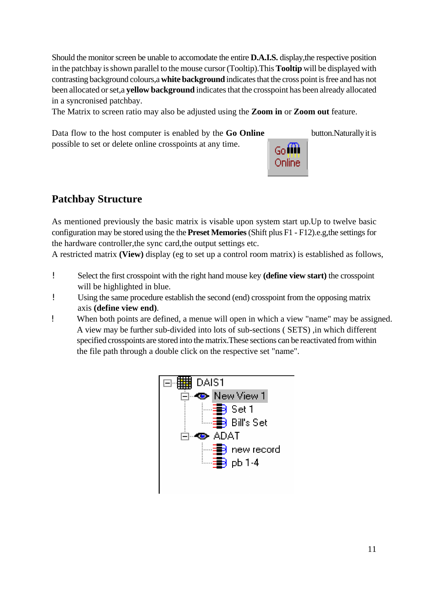Should the monitor screen be unable to accomodate the entire **D.A.I.S.** display,the respective position in the patchbay isshown parallel to the mouse cursor (Tooltip).This **Tooltip** will be displayed with contrasting background colours,a **white background** indicates that the cross point is free and has not been allocated or set,a **yellow background** indicates that the crosspoint has been already allocated in a syncronised patchbay.

The Matrix to screen ratio may also be adjusted using the **Zoom in** or **Zoom out** feature.

Data flow to the host computer is enabled by the **Go Online** button.Naturally it is possible to set or delete online crosspoints at any time.



## **Patchbay Structure**

As mentioned previously the basic matrix is visable upon system start up.Up to twelve basic configuration may be stored using the the **Preset Memories** (Shift plus F1 - F12).e.g,the settings for the hardware controller,the sync card,the output settings etc.

A restricted matrix **(View)** display (eg to set up a control room matrix) is established as follows,

- ! Select the first crosspoint with the right hand mouse key **(define view start)** the crosspoint will be highlighted in blue.
- ! Using the same procedure establish the second (end) crosspoint from the opposing matrix axis **(define view end)**.
- ! When both points are defined, a menue will open in which a view "name" may be assigned. A view may be further sub-divided into lots of sub-sections ( SETS) ,in which different specified crosspoints are stored into the matrix.These sections can be reactivated from within the file path through a double click on the respective set "name".

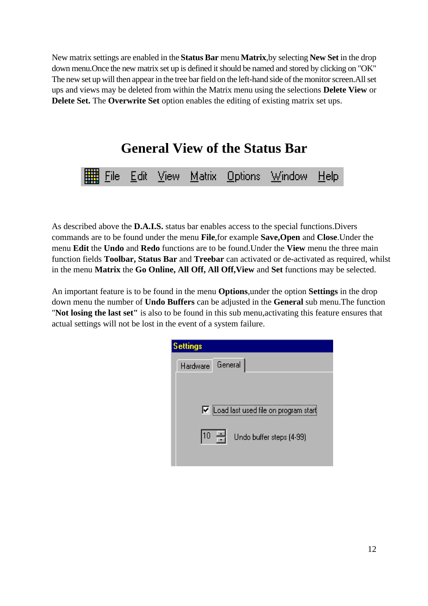New matrix settings are enabled in the **Status Bar** menu **Matrix**,by selecting **New Set** in the drop down menu.Once the new matrix set up is defined it should be named and stored by clicking on "OK" The new set up will then appear in the tree bar field on the left-hand side of the monitor screen.All set ups and views may be deleted from within the Matrix menu using the selections **Delete View** or **Delete Set.** The **Overwrite Set** option enables the editing of existing matrix set ups.

**General View of the Status Bar**



As described above the **D.A.I.S.** status bar enables access to the special functions.Divers commands are to be found under the menu **File**,for example **Save,Open** and **Close**.Under the menu **Edit** the **Undo** and **Redo** functions are to be found.Under the **View** menu the three main function fields **Toolbar, Status Bar** and **Treebar** can activated or de-activated as required, whilst in the menu **Matrix** the **Go Online, All Off, All Off,View** and **Set** functions may be selected.

An important feature is to be found in the menu **Options**,under the option **Settings** in the drop down menu the number of **Undo Buffers** can be adjusted in the **General** sub menu.The function "**Not losing the last set"** is also to be found in this sub menu,activating this feature ensures that actual settings will not be lost in the event of a system failure.

| <b>Settings</b> |                                                 |
|-----------------|-------------------------------------------------|
| Hardware        | General                                         |
|                 |                                                 |
|                 | $\nabla$ [Load last used file on program start] |
|                 |                                                 |
| 10              | Undo buffer steps (4-99)                        |
|                 |                                                 |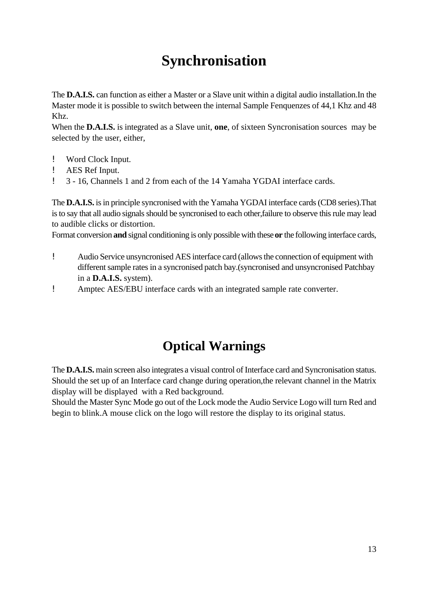# **Synchronisation**

The **D.A.I.S.** can function as either a Master or a Slave unit within a digital audio installation.In the Master mode it is possible to switch between the internal Sample Fenquenzes of 44,1 Khz and 48 Khz.

When the **D.A.I.S.** is integrated as a Slave unit, **one**, of sixteen Syncronisation sources may be selected by the user, either,

- ! Word Clock Input.
- ! AES Ref Input.
- ! 3 16, Channels 1 and 2 from each of the 14 Yamaha YGDAI interface cards.

The **D.A.I.S.** is in principle syncronised with the Yamaha YGDAI interface cards (CD8 series).That is to say that all audio signals should be syncronised to each other,failure to observe this rule may lead to audible clicks or distortion.

Format conversion **and** signal conditioning is only possible with these **or** the following interface cards,

- ! Audio Service unsyncronised AES interface card (allows the connection of equipment with different sample rates in a syncronised patch bay.(syncronised and unsyncronised Patchbay in a **D.A.I.S.** system).
- ! Amptec AES/EBU interface cards with an integrated sample rate converter.

## **Optical Warnings**

The **D.A.I.S.** main screen also integrates a visual control of Interface card and Syncronisation status. Should the set up of an Interface card change during operation,the relevant channel in the Matrix display will be displayed with a Red background.

Should the Master Sync Mode go out of the Lock mode the Audio Service Logo will turn Red and begin to blink.A mouse click on the logo will restore the display to its original status.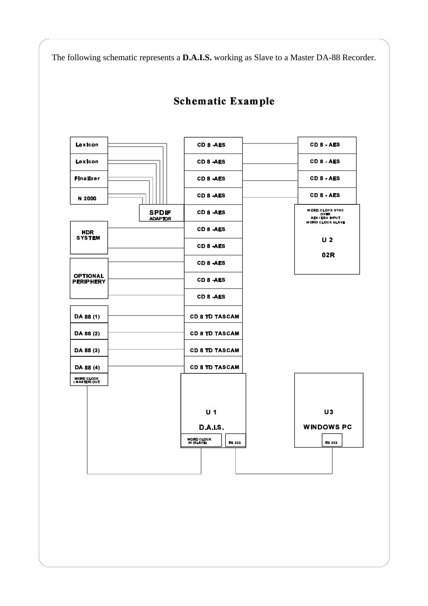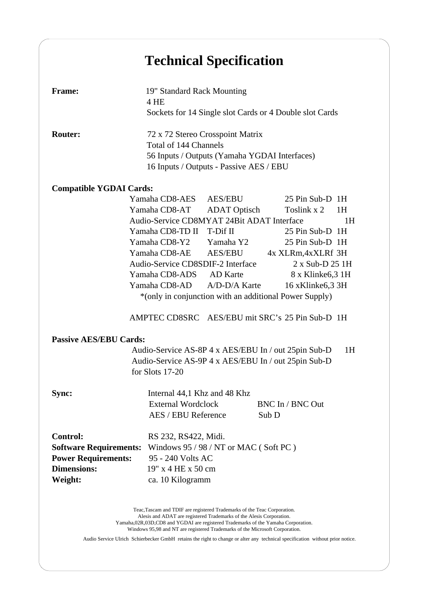# **Technical Specification**

| <b>Frame:</b>                                                                                                                         | 19" Standard Rack Mounting<br>4 HE<br>Sockets for 14 Single slot Cards or 4 Double slot Cards                                                         |                     |  |                  |  |  |  |
|---------------------------------------------------------------------------------------------------------------------------------------|-------------------------------------------------------------------------------------------------------------------------------------------------------|---------------------|--|------------------|--|--|--|
| <b>Router:</b>                                                                                                                        | 72 x 72 Stereo Crosspoint Matrix<br>Total of 144 Channels<br>56 Inputs / Outputs (Yamaha YGDAI Interfaces)<br>16 Inputs / Outputs - Passive AES / EBU |                     |  |                  |  |  |  |
| <b>Compatible YGDAI Cards:</b>                                                                                                        |                                                                                                                                                       |                     |  |                  |  |  |  |
|                                                                                                                                       | Yamaha CD8-AES                                                                                                                                        | AES/EBU             |  | 25 Pin Sub-D 1H  |  |  |  |
|                                                                                                                                       | Yamaha CD8-AT                                                                                                                                         | <b>ADAT</b> Optisch |  | Toslink $x^2$ 1H |  |  |  |
|                                                                                                                                       | Audio-Service CD8MYAT 24Bit ADAT Interface<br>1H                                                                                                      |                     |  |                  |  |  |  |
|                                                                                                                                       | Yamaha CD8-TD II T-Dif II                                                                                                                             |                     |  | 25 Pin Sub-D 1H  |  |  |  |
|                                                                                                                                       | Yamaha CD8-Y2 Yamaha Y2                                                                                                                               |                     |  | 25 Pin Sub-D 1H  |  |  |  |
|                                                                                                                                       | Yamaha CD8-AE<br>AES/EBU<br>4x XLRm, 4x XLRf 3H                                                                                                       |                     |  |                  |  |  |  |
|                                                                                                                                       | Audio-Service CD8SDIF-2 Interface<br>2 x Sub-D 25 1H                                                                                                  |                     |  |                  |  |  |  |
|                                                                                                                                       | Yamaha CD8-ADS AD Karte                                                                                                                               |                     |  | 8 x Klinke6,3 1H |  |  |  |
|                                                                                                                                       | Yamaha CD8-AD A/D-D/A Karte<br>16 xKlinke6,3 3H                                                                                                       |                     |  |                  |  |  |  |
|                                                                                                                                       | *(only in conjunction with an additional Power Supply)                                                                                                |                     |  |                  |  |  |  |
|                                                                                                                                       | AMPTEC CD8SRC AES/EBU mit SRC's 25 Pin Sub-D 1H                                                                                                       |                     |  |                  |  |  |  |
| <b>Passive AES/EBU Cards:</b>                                                                                                         |                                                                                                                                                       |                     |  |                  |  |  |  |
| Audio-Service AS-8P 4 x AES/EBU In / out 25pin Sub-D<br>1H<br>Audio-Service AS-9P 4 x AES/EBU In / out 25pin Sub-D<br>for Slots 17-20 |                                                                                                                                                       |                     |  |                  |  |  |  |
| Sync:                                                                                                                                 | Internal 44,1 Khz and 48 Khz<br>BNC In / BNC Out<br>External Wordclock<br>AES / EBU Reference<br>Sub D                                                |                     |  |                  |  |  |  |
| <b>Control:</b><br><b>Software Requirements:</b><br><b>Power Requirements:</b><br><b>Dimensions:</b><br>Weight:                       | RS 232, RS422, Midi.<br>Windows $95 / 98 / NT$ or MAC (Soft PC)<br>95 - 240 Volts AC<br>19" x 4 HE x 50 cm<br>ca. 10 Kilogramm                        |                     |  |                  |  |  |  |

Teac,Tascam and TDIF are registered Trademarks of the Teac Corporation. Alesis and ADAT are registered Trademarks of the Alesis Corporation. Yamaha,02R,03D,CD8 and YGDAI are registered Trademarks of the Yamaha Corporation. Windows 95,98 and NT are registered Trademarks of the Microsoft Corporation.

Audio Service Ulrich Schierbecker GmbH retains the right to change or alter any technical specification without prior notice.